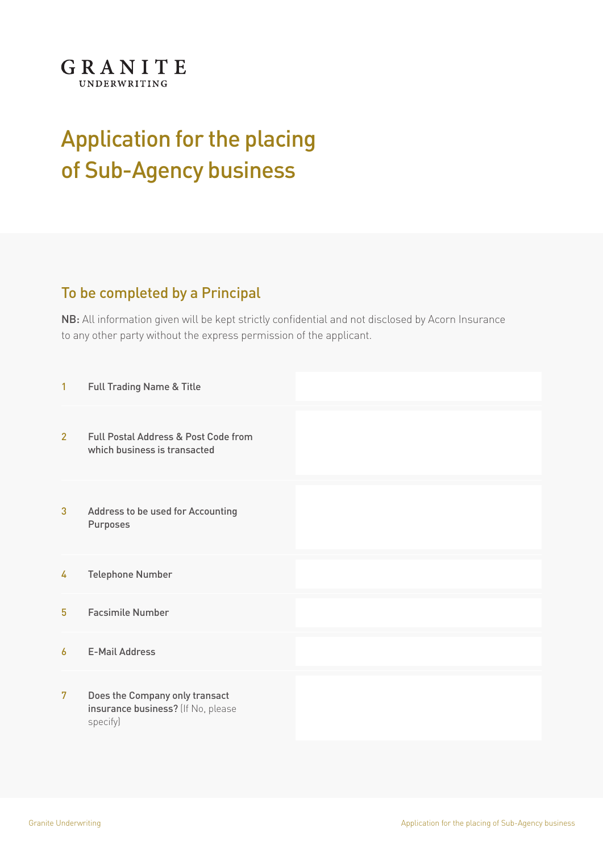

## Application for the placing of Sub-Agency business

## To be completed by a Principal

NB: All information given will be kept strictly confidential and not disclosed by Acorn Insurance to any other party without the express permission of the applicant.

| 1              | Full Trading Name & Title                                                        |  |
|----------------|----------------------------------------------------------------------------------|--|
| $\overline{2}$ | Full Postal Address & Post Code from<br>which business is transacted             |  |
| 3              | Address to be used for Accounting<br>Purposes                                    |  |
| 4              | <b>Telephone Number</b>                                                          |  |
| 5              | <b>Facsimile Number</b>                                                          |  |
| 6              | <b>E-Mail Address</b>                                                            |  |
| 7              | Does the Company only transact<br>insurance business? (If No, please<br>specify) |  |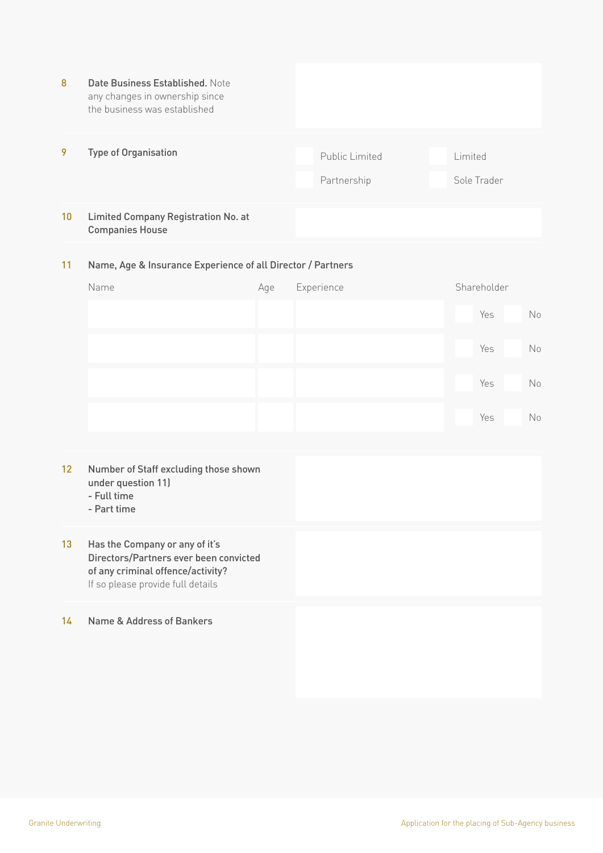| 8  | Date Business Established. Note<br>any changes in ownership since<br>the business was established |                               |                        |
|----|---------------------------------------------------------------------------------------------------|-------------------------------|------------------------|
| 9  | <b>Type of Organisation</b>                                                                       | Public Limited<br>Partnership | Limited<br>Sole Trader |
| 10 | <b>Limited Company Registration No. at</b><br><b>Companies House</b>                              |                               |                        |

## Name, Age & Insurance Experience of all Director / Partners 11

| Name | Age | Experience | Shareholder |    |
|------|-----|------------|-------------|----|
|      |     |            | Yes         | No |
|      |     |            | Yes         | No |
|      |     |            | Yes         | No |
|      |     |            | Yes         | No |

- Number of Staff excluding those shown under question 11) 12
	- Full time
	- Part time
- Has the Company or any of it's Directors/Partners ever been convicted of any criminal offence/activity? If so please provide full details 13

14 Name & Address of Bankers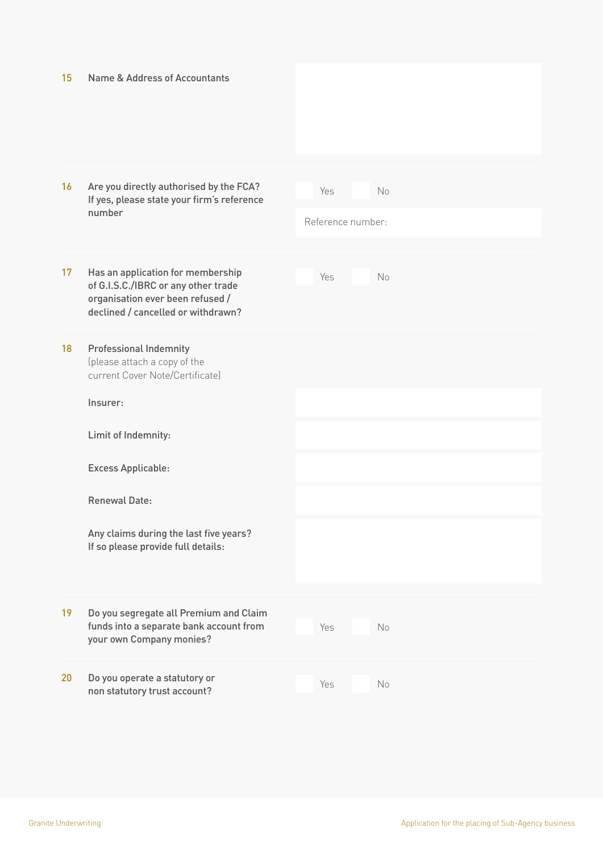| 15 | Name & Address of Accountants                                                                                                                      |                          |                |
|----|----------------------------------------------------------------------------------------------------------------------------------------------------|--------------------------|----------------|
|    |                                                                                                                                                    |                          |                |
| 16 | Are you directly authorised by the FCA?<br>If yes, please state your firm's reference<br>number                                                    | Yes<br>Reference number: | No             |
|    |                                                                                                                                                    |                          |                |
| 17 | Has an application for membership<br>of G.I.S.C./IBRC or any other trade<br>organisation ever been refused /<br>declined / cancelled or withdrawn? | Yes                      | N <sub>o</sub> |
| 18 | <b>Professional Indemnity</b><br>(please attach a copy of the<br>current Cover Note/Certificate)                                                   |                          |                |
|    | Insurer:                                                                                                                                           |                          |                |
|    | Limit of Indemnity:                                                                                                                                |                          |                |
|    | <b>Excess Applicable:</b>                                                                                                                          |                          |                |
|    | <b>Renewal Date:</b>                                                                                                                               |                          |                |
|    | Any claims during the last five years?<br>If so please provide full details:                                                                       |                          |                |
| 19 | Do you segregate all Premium and Claim<br>funds into a separate bank account from<br>your own Company monies?                                      | Yes                      | No             |
| 20 | Do you operate a statutory or<br>non statutory trust account?                                                                                      | Yes                      | No             |